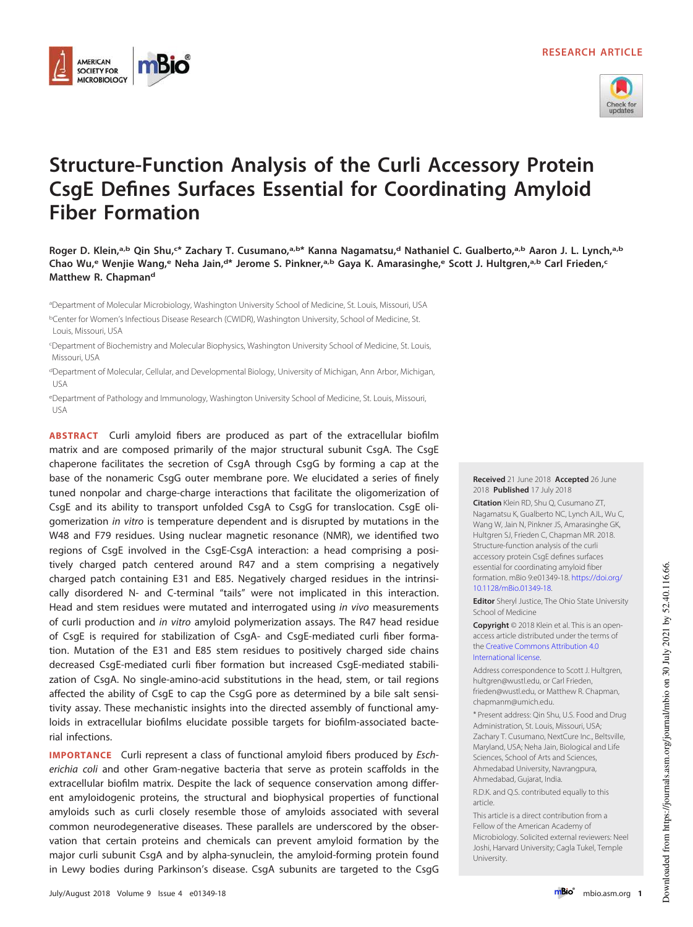



# **Structure-Function Analysis of the Curli Accessory Protein CsgE Defines Surfaces Essential for Coordinating Amyloid Fiber Formation**

**Roger D. Klein,a,b Qin Shu,<sup>c</sup> \* Zachary T. Cusumano,a,b \* Kanna Nagamatsu,<sup>d</sup> Nathaniel C. Gualberto,a,b Aaron J. L. Lynch,a,b Chao Wu,<sup>e</sup> Wenjie Wang,<sup>e</sup> Neha Jain,<sup>d</sup> \* Jerome S. Pinkner,a,b Gaya K. Amarasinghe,<sup>e</sup> Scott J. Hultgren,a,b Carl Frieden,<sup>c</sup> Matthew R. Chapman<sup>d</sup>**

<sup>a</sup>Department of Molecular Microbiology, Washington University School of Medicine, St. Louis, Missouri, USA <sup>b</sup>Center for Women's Infectious Disease Research (CWIDR), Washington University, School of Medicine, St. Louis, Missouri, USA

**AMERICAN SOCIETY FOR MICROBIOLOGY** 

<sup>c</sup>Department of Biochemistry and Molecular Biophysics, Washington University School of Medicine, St. Louis, Missouri, USA

<sup>d</sup>Department of Molecular, Cellular, and Developmental Biology, University of Michigan, Ann Arbor, Michigan, USA

<sup>e</sup>Department of Pathology and Immunology, Washington University School of Medicine, St. Louis, Missouri, USA

**ABSTRACT** Curli amyloid fibers are produced as part of the extracellular biofilm matrix and are composed primarily of the major structural subunit CsgA. The CsgE chaperone facilitates the secretion of CsgA through CsgG by forming a cap at the base of the nonameric CsgG outer membrane pore. We elucidated a series of finely tuned nonpolar and charge-charge interactions that facilitate the oligomerization of CsgE and its ability to transport unfolded CsgA to CsgG for translocation. CsgE oligomerization in vitro is temperature dependent and is disrupted by mutations in the W48 and F79 residues. Using nuclear magnetic resonance (NMR), we identified two regions of CsgE involved in the CsgE-CsgA interaction: a head comprising a positively charged patch centered around R47 and a stem comprising a negatively charged patch containing E31 and E85. Negatively charged residues in the intrinsically disordered N- and C-terminal "tails" were not implicated in this interaction. Head and stem residues were mutated and interrogated using in vivo measurements of curli production and in vitro amyloid polymerization assays. The R47 head residue of CsgE is required for stabilization of CsgA- and CsgE-mediated curli fiber formation. Mutation of the E31 and E85 stem residues to positively charged side chains decreased CsgE-mediated curli fiber formation but increased CsgE-mediated stabilization of CsgA. No single-amino-acid substitutions in the head, stem, or tail regions affected the ability of CsgE to cap the CsgG pore as determined by a bile salt sensitivity assay. These mechanistic insights into the directed assembly of functional amyloids in extracellular biofilms elucidate possible targets for biofilm-associated bacterial infections.

**IMPORTANCE** Curli represent a class of functional amyloid fibers produced by Escherichia coli and other Gram-negative bacteria that serve as protein scaffolds in the extracellular biofilm matrix. Despite the lack of sequence conservation among different amyloidogenic proteins, the structural and biophysical properties of functional amyloids such as curli closely resemble those of amyloids associated with several common neurodegenerative diseases. These parallels are underscored by the observation that certain proteins and chemicals can prevent amyloid formation by the major curli subunit CsgA and by alpha-synuclein, the amyloid-forming protein found in Lewy bodies during Parkinson's disease. CsgA subunits are targeted to the CsgG

#### **Received** 21 June 2018 **Accepted** 26 June 2018 **Published** 17 July 2018

**Citation** Klein RD, Shu Q, Cusumano ZT, Nagamatsu K, Gualberto NC, Lynch AJL, Wu C, Wang W, Jain N, Pinkner JS, Amarasinghe GK, Hultgren SJ, Frieden C, Chapman MR. 2018. Structure-function analysis of the curli accessory protein CsgE defines surfaces essential for coordinating amyloid fiber formation. mBio 9:e01349-18. https://doi.org/ 10.1128/mBio.01349-18.

**Editor** Sheryl Justice, The Ohio State University School of Medicine

**Copyright** © 2018 Klein et al. This is an openaccess article distributed under the terms of the Creative Commons Attribution 4.0 International license.

Address correspondence to Scott J. Hultgren, hultgren@wustl.edu.or Carl Frieden frieden@wustl.edu, or Matthew R. Chapman, chapmanm@umich.edu.

\* Present address: Qin Shu, U.S. Food and Drug Administration, St. Louis, Missouri, USA; Zachary T. Cusumano, NextCure Inc., Beltsville, Maryland, USA; Neha Jain, Biological and Life Sciences, School of Arts and Sciences, Ahmedabad University, Navrangpura, Ahmedabad, Gujarat, India.

R.D.K. and Q.S. contributed equally to this article.

This article is a direct contribution from a Fellow of the American Academy of Microbiology. Solicited external reviewers: Neel Joshi, Harvard University; Cagla Tukel, Temple University.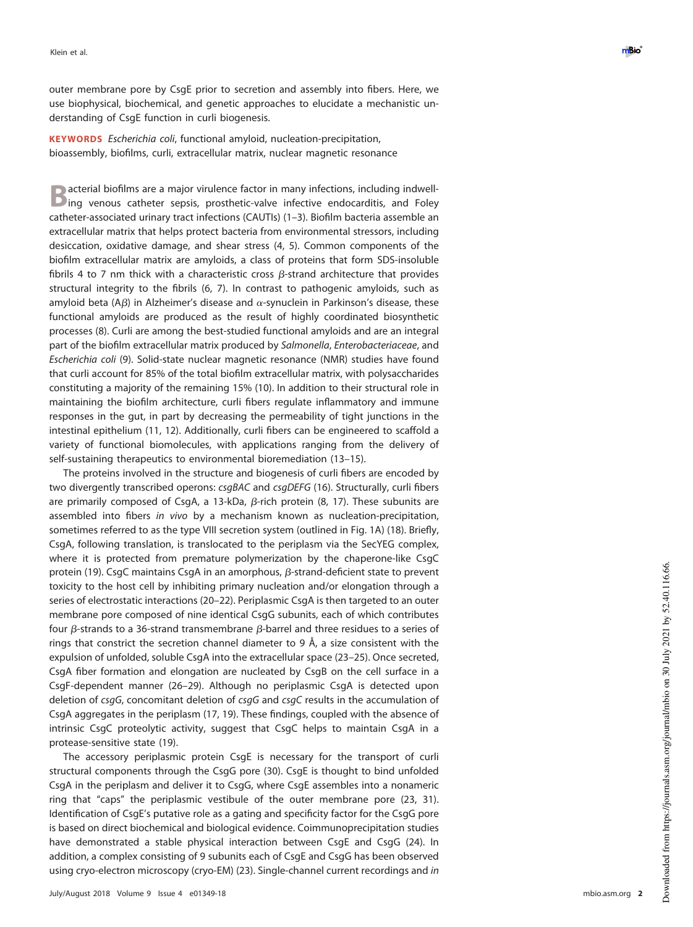outer membrane pore by CsgE prior to secretion and assembly into fibers. Here, we use biophysical, biochemical, and genetic approaches to elucidate a mechanistic understanding of CsgE function in curli biogenesis.

**KEYWORDS** Escherichia coli, functional amyloid, nucleation-precipitation, bioassembly, biofilms, curli, extracellular matrix, nuclear magnetic resonance

**B** acterial biofilms are a major virulence factor in many infections, including indwell-<br>Ding venous catheter sepsis, prosthetic-valve infective endocarditis, and Foley acterial biofilms are a major virulence factor in many infections, including indwellcatheter-associated urinary tract infections (CAUTIs) [\(1](#page-13-0)[–](#page-13-1)[3\)](#page-13-2). Biofilm bacteria assemble an extracellular matrix that helps protect bacteria from environmental stressors, including desiccation, oxidative damage, and shear stress [\(4,](#page-13-3) [5\)](#page-13-4). Common components of the biofilm extracellular matrix are amyloids, a class of proteins that form SDS-insoluble fibrils 4 to 7 nm thick with a characteristic cross  $\beta$ -strand architecture that provides structural integrity to the fibrils [\(6,](#page-13-5) [7\)](#page-13-6). In contrast to pathogenic amyloids, such as amyloid beta (A $\beta$ ) in Alzheimer's disease and  $\alpha$ -synuclein in Parkinson's disease, these functional amyloids are produced as the result of highly coordinated biosynthetic processes [\(8\)](#page-13-7). Curli are among the best-studied functional amyloids and are an integral part of the biofilm extracellular matrix produced by Salmonella, Enterobacteriaceae, and Escherichia coli [\(9\)](#page-13-8). Solid-state nuclear magnetic resonance (NMR) studies have found that curli account for 85% of the total biofilm extracellular matrix, with polysaccharides constituting a majority of the remaining 15% [\(10\)](#page-13-9). In addition to their structural role in maintaining the biofilm architecture, curli fibers regulate inflammatory and immune responses in the gut, in part by decreasing the permeability of tight junctions in the intestinal epithelium [\(11,](#page-13-10) [12\)](#page-13-11). Additionally, curli fibers can be engineered to scaffold a variety of functional biomolecules, with applications ranging from the delivery of self-sustaining therapeutics to environmental bioremediation [\(13](#page-13-12)[–](#page-13-13)[15\)](#page-13-14).

The proteins involved in the structure and biogenesis of curli fibers are encoded by two divergently transcribed operons: csgBAC and csgDEFG [\(16\)](#page-13-15). Structurally, curli fibers are primarily composed of CsgA, a 13-kDa,  $\beta$ -rich protein [\(8,](#page-13-7) [17\)](#page-13-16). These subunits are assembled into fibers in vivo by a mechanism known as nucleation-precipitation, sometimes referred to as the type VIII secretion system (outlined in [Fig. 1A\)](#page-2-0) [\(18\)](#page-13-17). Briefly, CsgA, following translation, is translocated to the periplasm via the SecYEG complex, where it is protected from premature polymerization by the chaperone-like CsgC protein [\(19\)](#page-13-18). CsgC maintains CsgA in an amorphous,  $\beta$ -strand-deficient state to prevent toxicity to the host cell by inhibiting primary nucleation and/or elongation through a series of electrostatic interactions [\(20](#page-13-19)[–](#page-13-20)[22\)](#page-13-21). Periplasmic CsgA is then targeted to an outer membrane pore composed of nine identical CsgG subunits, each of which contributes four  $\beta$ -strands to a 36-strand transmembrane  $\beta$ -barrel and three residues to a series of rings that constrict the secretion channel diameter to 9  $\AA$ , a size consistent with the expulsion of unfolded, soluble CsgA into the extracellular space [\(23](#page-14-0)[–](#page-14-1)[25\)](#page-14-2). Once secreted, CsgA fiber formation and elongation are nucleated by CsgB on the cell surface in a CsgF-dependent manner [\(26](#page-14-3)[–](#page-14-4)[29\)](#page-14-5). Although no periplasmic CsgA is detected upon deletion of csgG, concomitant deletion of csgG and csgC results in the accumulation of CsgA aggregates in the periplasm [\(17,](#page-13-16) [19\)](#page-13-18). These findings, coupled with the absence of intrinsic CsgC proteolytic activity, suggest that CsgC helps to maintain CsgA in a protease-sensitive state [\(19\)](#page-13-18).

The accessory periplasmic protein CsgE is necessary for the transport of curli structural components through the CsgG pore [\(30\)](#page-14-6). CsgE is thought to bind unfolded CsgA in the periplasm and deliver it to CsgG, where CsgE assembles into a nonameric ring that "caps" the periplasmic vestibule of the outer membrane pore [\(23,](#page-14-0) [31\)](#page-14-7). Identification of CsgE's putative role as a gating and specificity factor for the CsgG pore is based on direct biochemical and biological evidence. Coimmunoprecipitation studies have demonstrated a stable physical interaction between CsgE and CsgG [\(24\)](#page-14-1). In addition, a complex consisting of 9 subunits each of CsgE and CsgG has been observed using cryo-electron microscopy (cryo-EM) [\(23\)](#page-14-0). Single-channel current recordings and in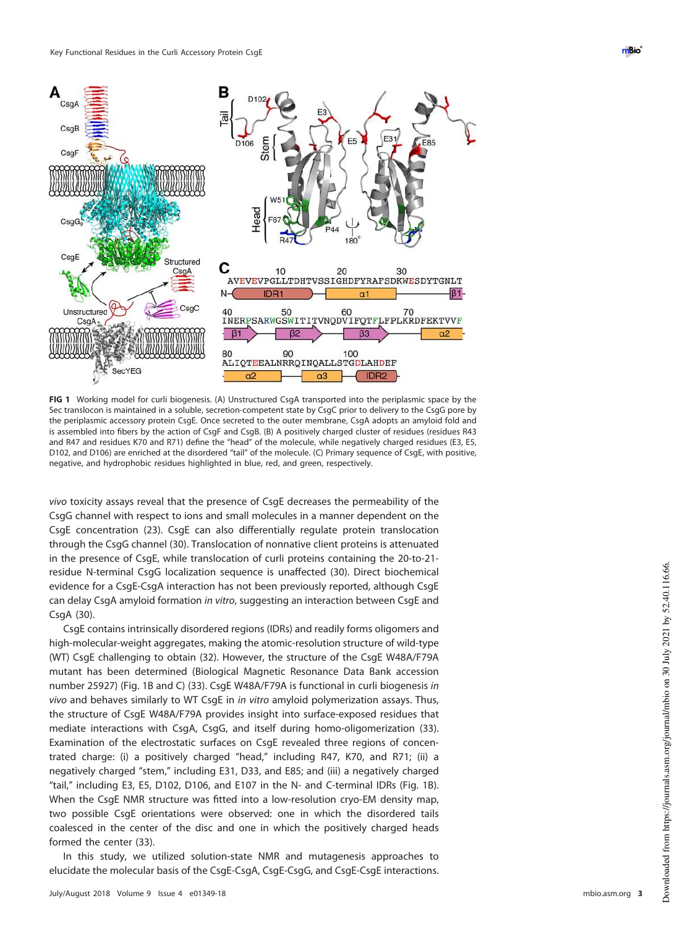

<span id="page-2-0"></span>**FIG 1** Working model for curli biogenesis. (A) Unstructured CsgA transported into the periplasmic space by the Sec translocon is maintained in a soluble, secretion-competent state by CsgC prior to delivery to the CsgG pore by the periplasmic accessory protein CsgE. Once secreted to the outer membrane, CsgA adopts an amyloid fold and is assembled into fibers by the action of CsgF and CsgB. (B) A positively charged cluster of residues (residues R43 and R47 and residues K70 and R71) define the "head" of the molecule, while negatively charged residues (E3, E5, D102, and D106) are enriched at the disordered "tail" of the molecule. (C) Primary sequence of CsgE, with positive, negative, and hydrophobic residues highlighted in blue, red, and green, respectively.

vivo toxicity assays reveal that the presence of CsgE decreases the permeability of the CsgG channel with respect to ions and small molecules in a manner dependent on the CsgE concentration [\(23\)](#page-14-0). CsgE can also differentially regulate protein translocation through the CsgG channel [\(30\)](#page-14-6). Translocation of nonnative client proteins is attenuated in the presence of CsgE, while translocation of curli proteins containing the 20-to-21 residue N-terminal CsgG localization sequence is unaffected [\(30\)](#page-14-6). Direct biochemical evidence for a CsgE-CsgA interaction has not been previously reported, although CsgE can delay CsgA amyloid formation in vitro, suggesting an interaction between CsgE and CsgA [\(30\)](#page-14-6).

CsgE contains intrinsically disordered regions (IDRs) and readily forms oligomers and high-molecular-weight aggregates, making the atomic-resolution structure of wild-type (WT) CsgE challenging to obtain [\(32\)](#page-14-8). However, the structure of the CsgE W48A/F79A mutant has been determined (Biological Magnetic Resonance Data Bank accession number 25927) [\(Fig. 1B](#page-2-0) and [C\)](#page-2-0) [\(33\)](#page-14-9). CsgE W48A/F79A is functional in curli biogenesis in vivo and behaves similarly to WT CsgE in in vitro amyloid polymerization assays. Thus, the structure of CsgE W48A/F79A provides insight into surface-exposed residues that mediate interactions with CsgA, CsgG, and itself during homo-oligomerization [\(33\)](#page-14-9). Examination of the electrostatic surfaces on CsgE revealed three regions of concentrated charge: (i) a positively charged "head," including R47, K70, and R71; (ii) a negatively charged "stem," including E31, D33, and E85; and (iii) a negatively charged "tail," including E3, E5, D102, D106, and E107 in the N- and C-terminal IDRs [\(Fig. 1B\)](#page-2-0). When the CsgE NMR structure was fitted into a low-resolution cryo-EM density map, two possible CsgE orientations were observed: one in which the disordered tails coalesced in the center of the disc and one in which the positively charged heads formed the center [\(33\)](#page-14-9).

In this study, we utilized solution-state NMR and mutagenesis approaches to elucidate the molecular basis of the CsgE-CsgA, CsgE-CsgG, and CsgE-CsgE interactions.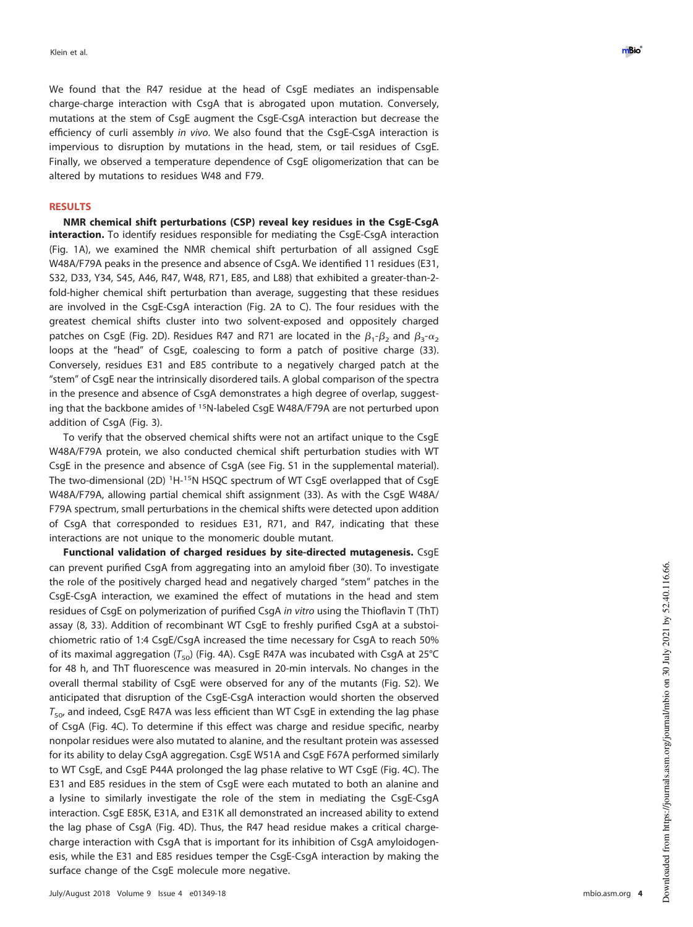We found that the R47 residue at the head of CsgE mediates an indispensable charge-charge interaction with CsgA that is abrogated upon mutation. Conversely, mutations at the stem of CsgE augment the CsgE-CsgA interaction but decrease the efficiency of curli assembly in vivo. We also found that the CsgE-CsgA interaction is impervious to disruption by mutations in the head, stem, or tail residues of CsgE. Finally, we observed a temperature dependence of CsgE oligomerization that can be altered by mutations to residues W48 and F79.

# **RESULTS**

**NMR chemical shift perturbations (CSP) reveal key residues in the CsgE-CsgA interaction.** To identify residues responsible for mediating the CsgE-CsgA interaction [\(Fig. 1A\)](#page-2-0), we examined the NMR chemical shift perturbation of all assigned CsgE W48A/F79A peaks in the presence and absence of CsgA. We identified 11 residues (E31, S32, D33, Y34, S45, A46, R47, W48, R71, E85, and L88) that exhibited a greater-than-2 fold-higher chemical shift perturbation than average, suggesting that these residues are involved in the CsgE-CsgA interaction [\(Fig. 2A](#page-4-0) to [C\)](#page-4-0). The four residues with the greatest chemical shifts cluster into two solvent-exposed and oppositely charged patches on CsgE [\(Fig. 2D\)](#page-4-0). Residues R47 and R71 are located in the  $\beta_1$ - $\beta_2$  and  $\beta_3$ - $\alpha_2$ loops at the "head" of CsgE, coalescing to form a patch of positive charge [\(33\)](#page-14-9). Conversely, residues E31 and E85 contribute to a negatively charged patch at the "stem" of CsgE near the intrinsically disordered tails. A global comparison of the spectra in the presence and absence of CsgA demonstrates a high degree of overlap, suggesting that the backbone amides of <sup>15</sup>N-labeled CsgE W48A/F79A are not perturbed upon addition of CsgA [\(Fig. 3\)](#page-5-0).

To verify that the observed chemical shifts were not an artifact unique to the CsgE W48A/F79A protein, we also conducted chemical shift perturbation studies with WT CsgE in the presence and absence of CsgA (see Fig. S1 in the supplemental material). The two-dimensional (2D) <sup>1</sup>H-<sup>15</sup>N HSQC spectrum of WT CsgE overlapped that of CsgE W48A/F79A, allowing partial chemical shift assignment [\(33\)](#page-14-9). As with the CsgE W48A/ F79A spectrum, small perturbations in the chemical shifts were detected upon addition of CsgA that corresponded to residues E31, R71, and R47, indicating that these interactions are not unique to the monomeric double mutant.

**Functional validation of charged residues by site-directed mutagenesis.** CsgE can prevent purified CsgA from aggregating into an amyloid fiber [\(30\)](#page-14-6). To investigate the role of the positively charged head and negatively charged "stem" patches in the CsgE-CsgA interaction, we examined the effect of mutations in the head and stem residues of CsgE on polymerization of purified CsgA in vitro using the Thioflavin T (ThT) assay [\(8,](#page-13-7) [33\)](#page-14-9). Addition of recombinant WT CsgE to freshly purified CsgA at a substoichiometric ratio of 1:4 CsgE/CsgA increased the time necessary for CsgA to reach 50% of its maximal aggregation ( $T_{50}$ ) [\(Fig. 4A\)](#page-6-0). CsgE R47A was incubated with CsgA at 25°C for 48 h, and ThT fluorescence was measured in 20-min intervals. No changes in the overall thermal stability of CsgE were observed for any of the mutants (Fig. S2). We anticipated that disruption of the CsgE-CsgA interaction would shorten the observed  $T_{50}$ , and indeed, CsgE R47A was less efficient than WT CsgE in extending the lag phase of CsgA [\(Fig. 4C\)](#page-6-0). To determine if this effect was charge and residue specific, nearby nonpolar residues were also mutated to alanine, and the resultant protein was assessed for its ability to delay CsgA aggregation. CsgE W51A and CsgE F67A performed similarly to WT CsgE, and CsgE P44A prolonged the lag phase relative to WT CsgE [\(Fig. 4C\)](#page-6-0). The E31 and E85 residues in the stem of CsgE were each mutated to both an alanine and a lysine to similarly investigate the role of the stem in mediating the CsgE-CsgA interaction. CsgE E85K, E31A, and E31K all demonstrated an increased ability to extend the lag phase of CsgA [\(Fig. 4D\)](#page-6-0). Thus, the R47 head residue makes a critical chargecharge interaction with CsgA that is important for its inhibition of CsgA amyloidogenesis, while the E31 and E85 residues temper the CsgE-CsgA interaction by making the surface change of the CsgE molecule more negative.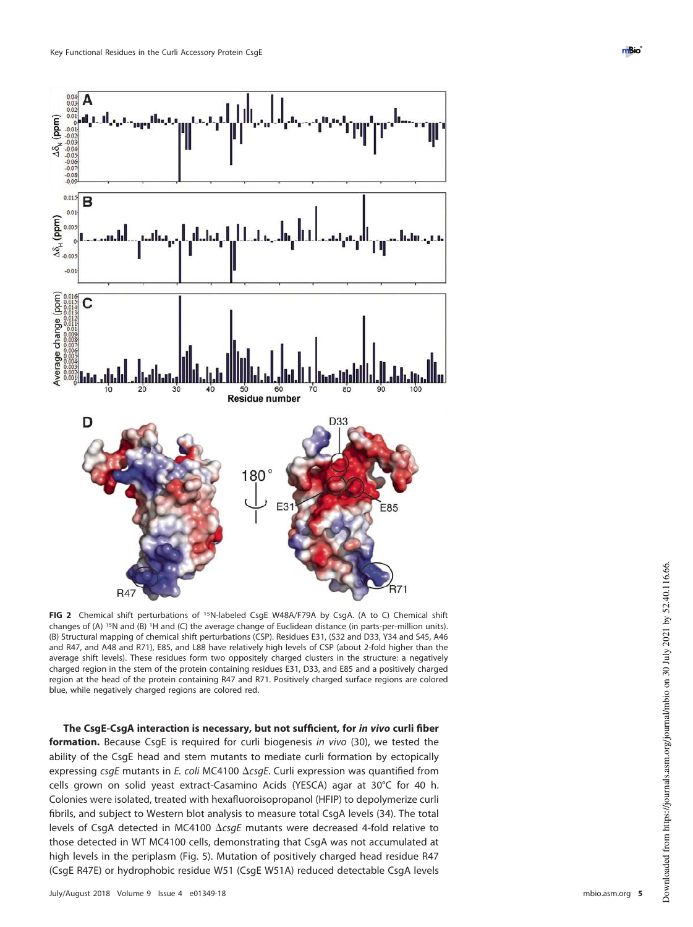

<span id="page-4-0"></span>**FIG 2** Chemical shift perturbations of <sup>15</sup>N-labeled CsgE W48A/F79A by CsgA. (A to C) Chemical shift changes of (A) <sup>15</sup>N and (B) <sup>1</sup>H and (C) the average change of Euclidean distance (in parts-per-million units). (B) Structural mapping of chemical shift perturbations (CSP). Residues E31, (S32 and D33, Y34 and S45, A46 and R47, and A48 and R71), E85, and L88 have relatively high levels of CSP (about 2-fold higher than the average shift levels). These residues form two oppositely charged clusters in the structure: a negatively charged region in the stem of the protein containing residues E31, D33, and E85 and a positively charged region at the head of the protein containing R47 and R71. Positively charged surface regions are colored blue, while negatively charged regions are colored red.

**The CsgE-CsgA interaction is necessary, but not sufficient, for in vivo curli fiber formation.** Because CsgE is required for curli biogenesis in vivo [\(30\)](#page-14-6), we tested the ability of the CsgE head and stem mutants to mediate curli formation by ectopically expressing  $csgE$  mutants in E. coli MC4100  $\Delta csgE$ . Curli expression was quantified from cells grown on solid yeast extract-Casamino Acids (YESCA) agar at 30°C for 40 h. Colonies were isolated, treated with hexafluoroisopropanol (HFIP) to depolymerize curli fibrils, and subject to Western blot analysis to measure total CsgA levels [\(34\)](#page-14-10). The total levels of CsgA detected in MC4100  $\Delta \text{csg}E$  mutants were decreased 4-fold relative to those detected in WT MC4100 cells, demonstrating that CsgA was not accumulated at high levels in the periplasm [\(Fig. 5\)](#page-7-0). Mutation of positively charged head residue R47 (CsgE R47E) or hydrophobic residue W51 (CsgE W51A) reduced detectable CsgA levels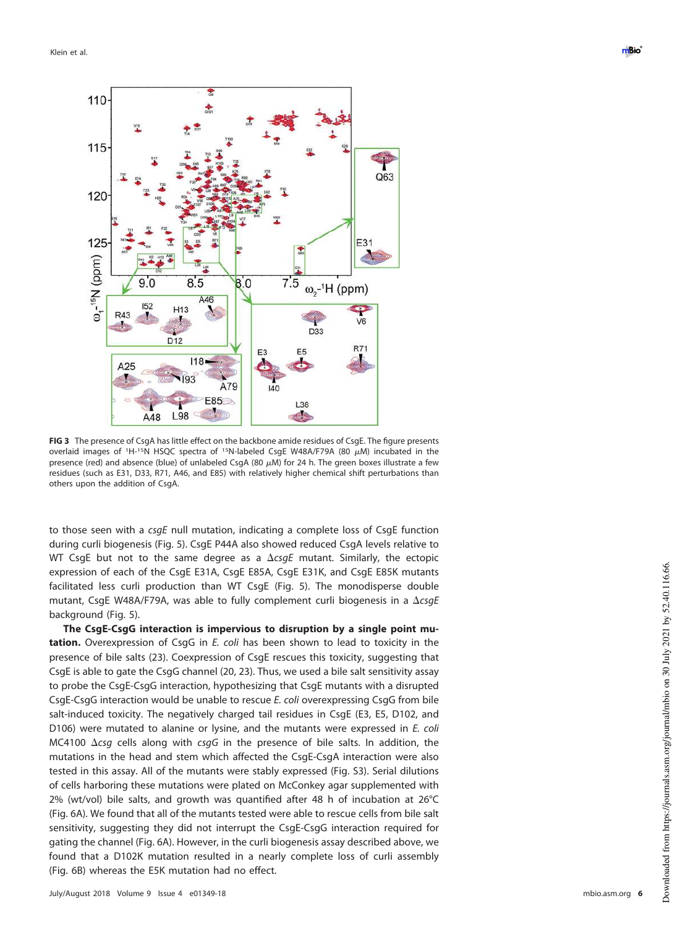Klein et al. **De verste staat het de verste van de verste van de verste van de verste van de verste van de verste van de verste van de verste van de verste van de verste van de verste van de verste van de verste van de ver** 



<span id="page-5-0"></span>**FIG 3** The presence of CsgA has little effect on the backbone amide residues of CsgE. The figure presents overlaid images of <sup>1</sup>H-<sup>15</sup>N HSQC spectra of <sup>15</sup>N-labeled CsgE W48A/F79A (80  $\mu$ M) incubated in the presence (red) and absence (blue) of unlabeled CsgA (80  $\mu$ M) for 24 h. The green boxes illustrate a few residues (such as E31, D33, R71, A46, and E85) with relatively higher chemical shift perturbations than others upon the addition of CsgA.

to those seen with a  $csgE$  null mutation, indicating a complete loss of CsgE function during curli biogenesis [\(Fig. 5\)](#page-7-0). CsgE P44A also showed reduced CsgA levels relative to WT CsgE but not to the same degree as a  $\Delta c s g E$  mutant. Similarly, the ectopic expression of each of the CsgE E31A, CsgE E85A, CsgE E31K, and CsgE E85K mutants facilitated less curli production than WT CsgE [\(Fig. 5\)](#page-7-0). The monodisperse double mutant, CsgE W48A/F79A, was able to fully complement curli biogenesis in a  $\Delta c s g E$ background [\(Fig. 5\)](#page-7-0).

**The CsgE-CsgG interaction is impervious to disruption by a single point mutation.** Overexpression of CsgG in E. coli has been shown to lead to toxicity in the presence of bile salts [\(23\)](#page-14-0). Coexpression of CsgE rescues this toxicity, suggesting that CsgE is able to gate the CsgG channel [\(20,](#page-13-19) [23\)](#page-14-0). Thus, we used a bile salt sensitivity assay to probe the CsgE-CsgG interaction, hypothesizing that CsgE mutants with a disrupted CsgE-CsgG interaction would be unable to rescue E. coli overexpressing CsgG from bile salt-induced toxicity. The negatively charged tail residues in CsgE (E3, E5, D102, and D106) were mutated to alanine or lysine, and the mutants were expressed in E. coli MC4100  $\Delta c$ sg cells along with csgG in the presence of bile salts. In addition, the mutations in the head and stem which affected the CsgE-CsgA interaction were also tested in this assay. All of the mutants were stably expressed (Fig. S3). Serial dilutions of cells harboring these mutations were plated on McConkey agar supplemented with 2% (wt/vol) bile salts, and growth was quantified after 48 h of incubation at 26°C [\(Fig. 6A\)](#page-7-1). We found that all of the mutants tested were able to rescue cells from bile salt sensitivity, suggesting they did not interrupt the CsgE-CsgG interaction required for gating the channel [\(Fig. 6A\)](#page-7-1). However, in the curli biogenesis assay described above, we found that a D102K mutation resulted in a nearly complete loss of curli assembly [\(Fig. 6B\)](#page-7-1) whereas the E5K mutation had no effect.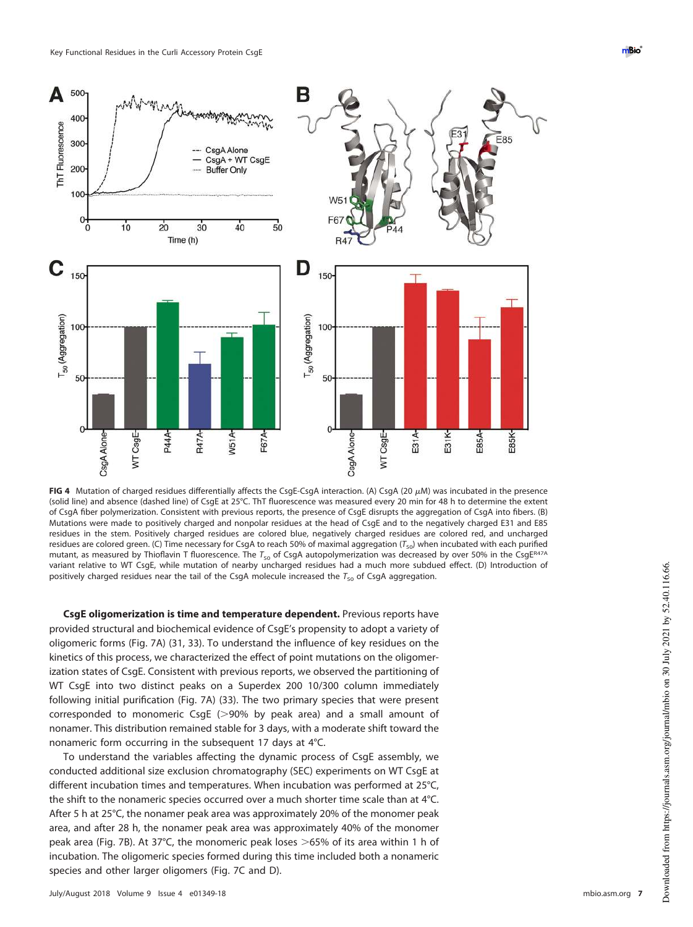

<span id="page-6-0"></span>**FIG 4** Mutation of charged residues differentially affects the CsgE-CsgA interaction. (A) CsgA (20  $\mu$ M) was incubated in the presence (solid line) and absence (dashed line) of CsgE at 25°C. ThT fluorescence was measured every 20 min for 48 h to determine the extent of CsgA fiber polymerization. Consistent with previous reports, the presence of CsgE disrupts the aggregation of CsgA into fibers. (B) Mutations were made to positively charged and nonpolar residues at the head of CsgE and to the negatively charged E31 and E85 residues in the stem. Positively charged residues are colored blue, negatively charged residues are colored red, and uncharged residues are colored green. (C) Time necessary for CsgA to reach 50% of maximal aggregation ( $T_{50}$ ) when incubated with each purified mutant, as measured by Thioflavin T fluorescence. The  $T_{50}$  of CsgA autopolymerization was decreased by over 50% in the CsgE<sup>R47A</sup> variant relative to WT CsgE, while mutation of nearby uncharged residues had a much more subdued effect. (D) Introduction of positively charged residues near the tail of the CsgA molecule increased the  $T_{50}$  of CsgA aggregation.

**CsgE oligomerization is time and temperature dependent.** Previous reports have provided structural and biochemical evidence of CsgE's propensity to adopt a variety of oligomeric forms [\(Fig. 7A\)](#page-8-0) [\(31,](#page-14-7) [33\)](#page-14-9). To understand the influence of key residues on the kinetics of this process, we characterized the effect of point mutations on the oligomerization states of CsgE. Consistent with previous reports, we observed the partitioning of WT CsgE into two distinct peaks on a Superdex 200 10/300 column immediately following initial purification [\(Fig. 7A\)](#page-8-0) [\(33\)](#page-14-9). The two primary species that were present corresponded to monomeric CsgE (>90% by peak area) and a small amount of nonamer. This distribution remained stable for 3 days, with a moderate shift toward the nonameric form occurring in the subsequent 17 days at 4°C.

To understand the variables affecting the dynamic process of CsgE assembly, we conducted additional size exclusion chromatography (SEC) experiments on WT CsgE at different incubation times and temperatures. When incubation was performed at 25°C, the shift to the nonameric species occurred over a much shorter time scale than at 4°C. After 5 h at 25°C, the nonamer peak area was approximately 20% of the monomer peak area, and after 28 h, the nonamer peak area was approximately 40% of the monomer peak area [\(Fig. 7B\)](#page-8-0). At 37°C, the monomeric peak loses  $>65%$  of its area within 1 h of incubation. The oligomeric species formed during this time included both a nonameric species and other larger oligomers [\(Fig. 7C](#page-8-0) and [D\)](#page-8-0).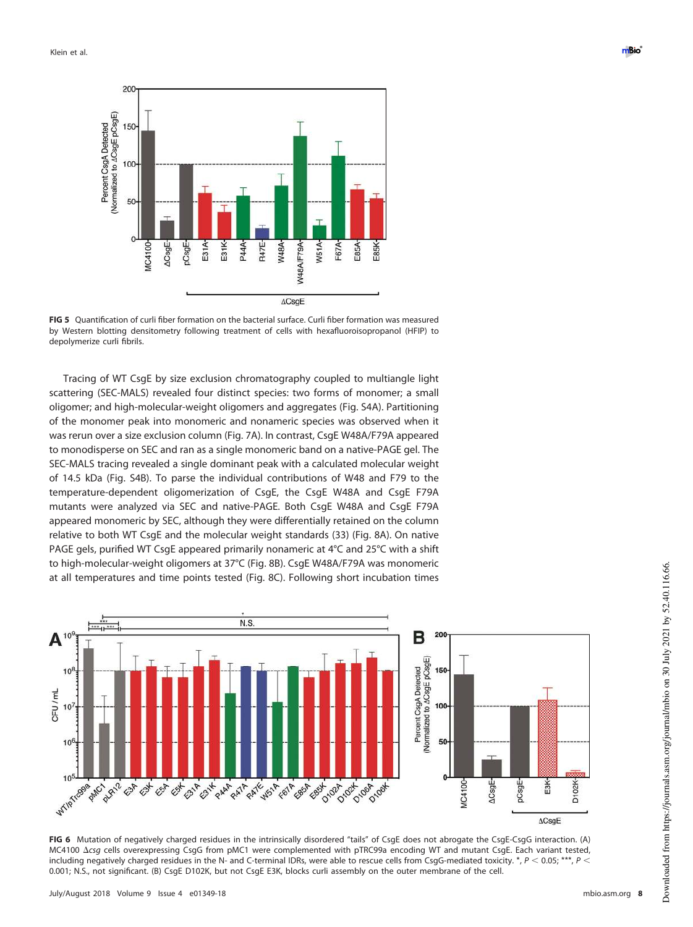

<span id="page-7-0"></span>**FIG 5** Quantification of curli fiber formation on the bacterial surface. Curli fiber formation was measured by Western blotting densitometry following treatment of cells with hexafluoroisopropanol (HFIP) to depolymerize curli fibrils.

Tracing of WT CsgE by size exclusion chromatography coupled to multiangle light scattering (SEC-MALS) revealed four distinct species: two forms of monomer; a small oligomer; and high-molecular-weight oligomers and aggregates (Fig. S4A). Partitioning of the monomer peak into monomeric and nonameric species was observed when it was rerun over a size exclusion column [\(Fig. 7A\)](#page-8-0). In contrast, CsgE W48A/F79A appeared to monodisperse on SEC and ran as a single monomeric band on a native-PAGE gel. The SEC-MALS tracing revealed a single dominant peak with a calculated molecular weight of 14.5 kDa (Fig. S4B). To parse the individual contributions of W48 and F79 to the temperature-dependent oligomerization of CsgE, the CsgE W48A and CsgE F79A mutants were analyzed via SEC and native-PAGE. Both CsgE W48A and CsgE F79A appeared monomeric by SEC, although they were differentially retained on the column relative to both WT CsgE and the molecular weight standards [\(33\)](#page-14-9) [\(Fig. 8A\)](#page-9-0). On native PAGE gels, purified WT CsgE appeared primarily nonameric at 4°C and 25°C with a shift to high-molecular-weight oligomers at 37°C [\(Fig. 8B\)](#page-9-0). CsgE W48A/F79A was monomeric at all temperatures and time points tested [\(Fig. 8C\)](#page-9-0). Following short incubation times



<span id="page-7-1"></span>**FIG 6** Mutation of negatively charged residues in the intrinsically disordered "tails" of CsgE does not abrogate the CsgE-CsgG interaction. (A) MC4100  $\Delta$ csg cells overexpressing CsgG from pMC1 were complemented with pTRC99a encoding WT and mutant CsgE. Each variant tested, including negatively charged residues in the N- and C-terminal IDRs, were able to rescue cells from CsgG-mediated toxicity.  $*$ ,  $P$  < 0.05;  $***$ ,  $P$  < 0.001; N.S., not significant. (B) CsgE D102K, but not CsgE E3K, blocks curli assembly on the outer membrane of the cell.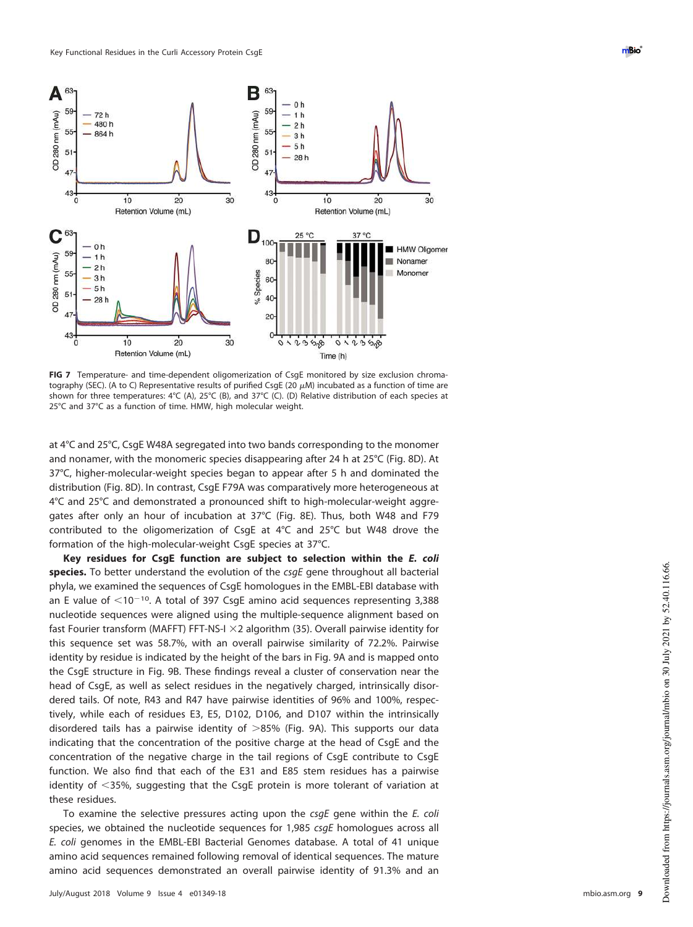

<span id="page-8-0"></span>**FIG 7** Temperature- and time-dependent oligomerization of CsgE monitored by size exclusion chromatography (SEC). (A to C) Representative results of purified CsgE (20  $\mu$ M) incubated as a function of time are shown for three temperatures: 4°C (A), 25°C (B), and 37°C (C). (D) Relative distribution of each species at 25°C and 37°C as a function of time. HMW, high molecular weight.

at 4°C and 25°C, CsgE W48A segregated into two bands corresponding to the monomer and nonamer, with the monomeric species disappearing after 24 h at 25°C [\(Fig. 8D\)](#page-9-0). At 37°C, higher-molecular-weight species began to appear after 5 h and dominated the distribution [\(Fig. 8D\)](#page-9-0). In contrast, CsgE F79A was comparatively more heterogeneous at 4°C and 25°C and demonstrated a pronounced shift to high-molecular-weight aggregates after only an hour of incubation at 37°C [\(Fig. 8E\)](#page-9-0). Thus, both W48 and F79 contributed to the oligomerization of CsgE at 4°C and 25°C but W48 drove the formation of the high-molecular-weight CsgE species at 37°C.

**Key residues for CsgE function are subject to selection within the E. coli species.** To better understand the evolution of the csgE gene throughout all bacterial phyla, we examined the sequences of CsgE homologues in the EMBL-EBI database with an E value of  $\leq 10^{-10}$ . A total of 397 CsgE amino acid sequences representing 3,388 nucleotide sequences were aligned using the multiple-sequence alignment based on fast Fourier transform (MAFFT) FFT-NS-I  $\times$ 2 algorithm [\(35\)](#page-14-11). Overall pairwise identity for this sequence set was 58.7%, with an overall pairwise similarity of 72.2%. Pairwise identity by residue is indicated by the height of the bars in [Fig. 9A](#page-10-0) and is mapped onto the CsgE structure in [Fig. 9B.](#page-10-0) These findings reveal a cluster of conservation near the head of CsgE, as well as select residues in the negatively charged, intrinsically disordered tails. Of note, R43 and R47 have pairwise identities of 96% and 100%, respectively, while each of residues E3, E5, D102, D106, and D107 within the intrinsically disordered tails has a pairwise identity of  $>85\%$  [\(Fig. 9A\)](#page-10-0). This supports our data indicating that the concentration of the positive charge at the head of CsgE and the concentration of the negative charge in the tail regions of CsgE contribute to CsgE function. We also find that each of the E31 and E85 stem residues has a pairwise identity of 35%, suggesting that the CsgE protein is more tolerant of variation at these residues.

To examine the selective pressures acting upon the csgE gene within the E. coli species, we obtained the nucleotide sequences for 1,985 csqE homologues across all E. coli genomes in the EMBL-EBI Bacterial Genomes database. A total of 41 unique amino acid sequences remained following removal of identical sequences. The mature amino acid sequences demonstrated an overall pairwise identity of 91.3% and an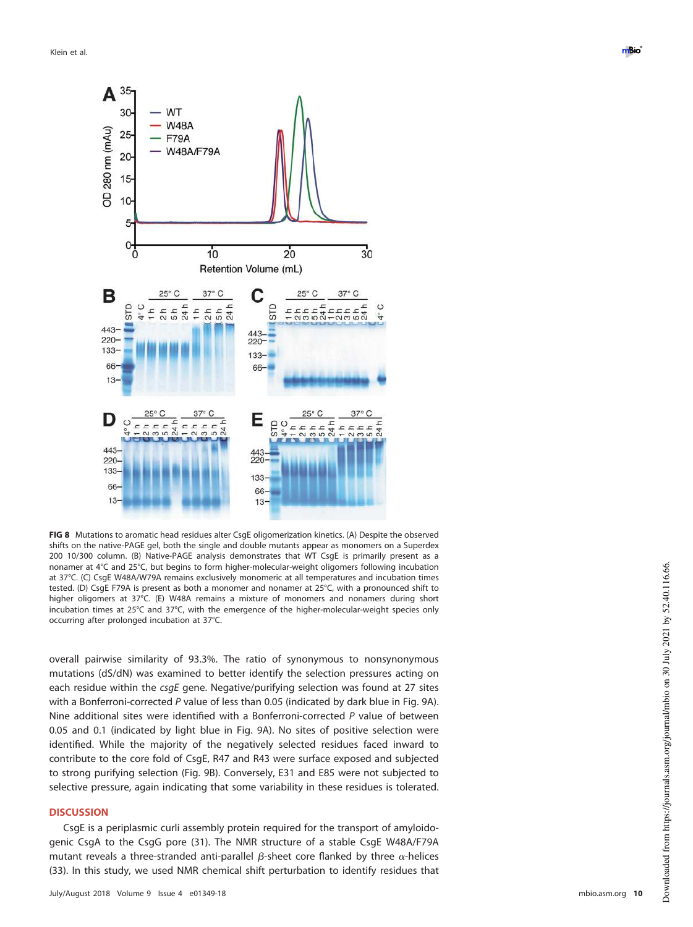

<span id="page-9-0"></span>**FIG 8** Mutations to aromatic head residues alter CsgE oligomerization kinetics. (A) Despite the observed shifts on the native-PAGE gel, both the single and double mutants appear as monomers on a Superdex 200 10/300 column. (B) Native-PAGE analysis demonstrates that WT CsgE is primarily present as a nonamer at 4°C and 25°C, but begins to form higher-molecular-weight oligomers following incubation at 37°C. (C) CsgE W48A/W79A remains exclusively monomeric at all temperatures and incubation times tested. (D) CsgE F79A is present as both a monomer and nonamer at 25°C, with a pronounced shift to higher oligomers at 37°C. (E) W48A remains a mixture of monomers and nonamers during short incubation times at 25°C and 37°C, with the emergence of the higher-molecular-weight species only occurring after prolonged incubation at 37°C.

overall pairwise similarity of 93.3%. The ratio of synonymous to nonsynonymous mutations (dS/dN) was examined to better identify the selection pressures acting on each residue within the csgE gene. Negative/purifying selection was found at 27 sites with a Bonferroni-corrected  $P$  value of less than 0.05 (indicated by dark blue in [Fig. 9A\)](#page-10-0). Nine additional sites were identified with a Bonferroni-corrected P value of between 0.05 and 0.1 (indicated by light blue in [Fig. 9A\)](#page-10-0). No sites of positive selection were identified. While the majority of the negatively selected residues faced inward to contribute to the core fold of CsgE, R47 and R43 were surface exposed and subjected to strong purifying selection [\(Fig. 9B\)](#page-10-0). Conversely, E31 and E85 were not subjected to selective pressure, again indicating that some variability in these residues is tolerated.

### **DISCUSSION**

CsgE is a periplasmic curli assembly protein required for the transport of amyloidogenic CsgA to the CsgG pore [\(31\)](#page-14-7). The NMR structure of a stable CsgE W48A/F79A mutant reveals a three-stranded anti-parallel  $\beta$ -sheet core flanked by three  $\alpha$ -helices [\(33\)](#page-14-9). In this study, we used NMR chemical shift perturbation to identify residues that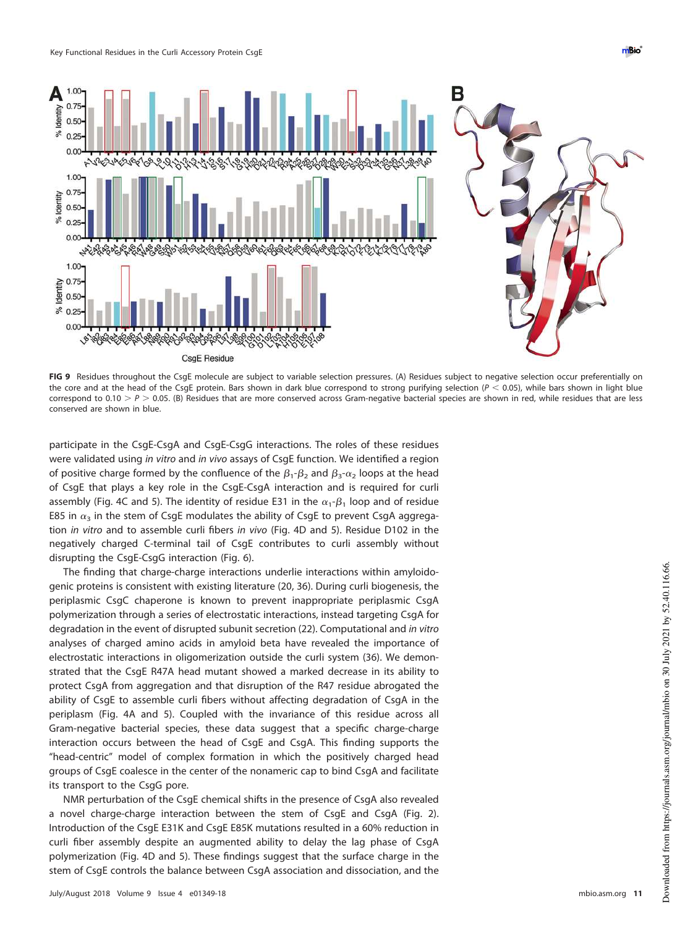

<span id="page-10-0"></span>FIG 9 Residues throughout the CsgE molecule are subject to variable selection pressures. (A) Residues subject to negative selection occur preferentially on the core and at the head of the CsgE protein. Bars shown in dark blue correspond to strong purifying selection ( $P < 0.05$ ), while bars shown in light blue correspond to 0.10  $>P$   $>$  0.05. (B) Residues that are more conserved across Gram-negative bacterial species are shown in red, while residues that are less conserved are shown in blue.

participate in the CsgE-CsgA and CsgE-CsgG interactions. The roles of these residues were validated using in vitro and in vivo assays of CsgE function. We identified a region of positive charge formed by the confluence of the  $\beta_1$ - $\beta_2$  and  $\beta_3$ - $\alpha_2$  loops at the head of CsgE that plays a key role in the CsgE-CsgA interaction and is required for curli assembly [\(Fig. 4C](#page-6-0) and [5\)](#page-7-0). The identity of residue E31 in the  $\alpha_1$ - $\beta_1$  loop and of residue E85 in  $\alpha_{\text{3}}$  in the stem of CsgE modulates the ability of CsgE to prevent CsgA aggregation in vitro and to assemble curli fibers in vivo [\(Fig. 4D](#page-6-0) and [5\)](#page-7-0). Residue D102 in the negatively charged C-terminal tail of CsgE contributes to curli assembly without disrupting the CsgE-CsgG interaction [\(Fig. 6\)](#page-7-1).

The finding that charge-charge interactions underlie interactions within amyloidogenic proteins is consistent with existing literature [\(20,](#page-13-19) [36\)](#page-14-12). During curli biogenesis, the periplasmic CsgC chaperone is known to prevent inappropriate periplasmic CsgA polymerization through a series of electrostatic interactions, instead targeting CsgA for degradation in the event of disrupted subunit secretion [\(22\)](#page-13-21). Computational and in vitro analyses of charged amino acids in amyloid beta have revealed the importance of electrostatic interactions in oligomerization outside the curli system [\(36\)](#page-14-12). We demonstrated that the CsgE R47A head mutant showed a marked decrease in its ability to protect CsgA from aggregation and that disruption of the R47 residue abrogated the ability of CsgE to assemble curli fibers without affecting degradation of CsgA in the periplasm [\(Fig. 4A](#page-6-0) and [5\)](#page-7-0). Coupled with the invariance of this residue across all Gram-negative bacterial species, these data suggest that a specific charge-charge interaction occurs between the head of CsgE and CsgA. This finding supports the "head-centric" model of complex formation in which the positively charged head groups of CsgE coalesce in the center of the nonameric cap to bind CsgA and facilitate its transport to the CsgG pore.

NMR perturbation of the CsgE chemical shifts in the presence of CsgA also revealed a novel charge-charge interaction between the stem of CsgE and CsgA [\(Fig. 2\)](#page-4-0). Introduction of the CsgE E31K and CsgE E85K mutations resulted in a 60% reduction in curli fiber assembly despite an augmented ability to delay the lag phase of CsgA polymerization [\(Fig. 4D](#page-6-0) and [5\)](#page-7-0). These findings suggest that the surface charge in the stem of CsgE controls the balance between CsgA association and dissociation, and the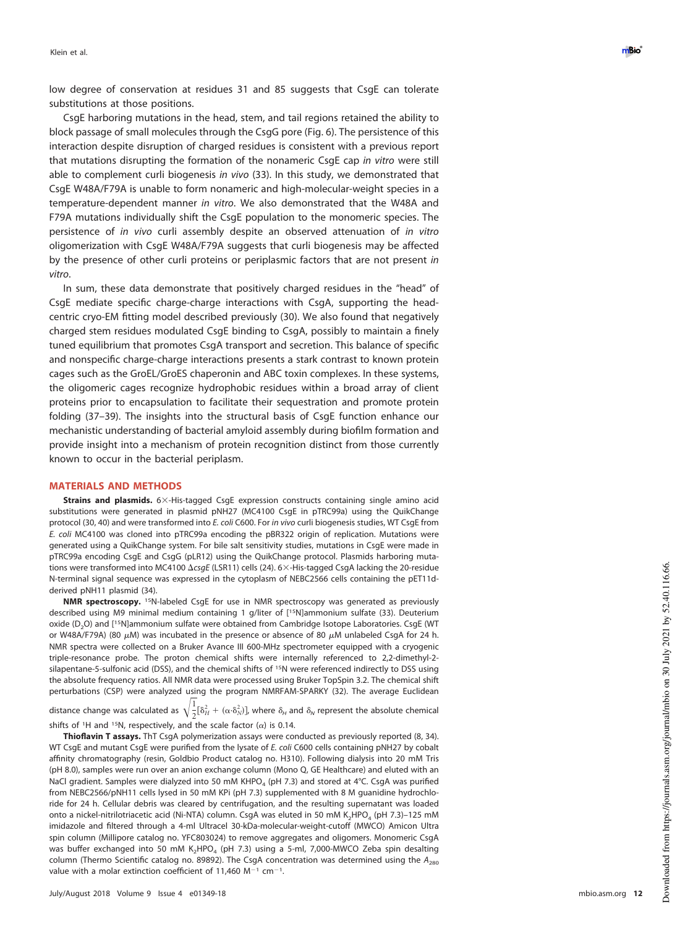low degree of conservation at residues 31 and 85 suggests that CsgE can tolerate substitutions at those positions.

CsgE harboring mutations in the head, stem, and tail regions retained the ability to block passage of small molecules through the CsgG pore [\(Fig. 6\)](#page-7-1). The persistence of this interaction despite disruption of charged residues is consistent with a previous report that mutations disrupting the formation of the nonameric CsgE cap in vitro were still able to complement curli biogenesis in vivo [\(33\)](#page-14-9). In this study, we demonstrated that CsgE W48A/F79A is unable to form nonameric and high-molecular-weight species in a temperature-dependent manner in vitro. We also demonstrated that the W48A and F79A mutations individually shift the CsgE population to the monomeric species. The persistence of in vivo curli assembly despite an observed attenuation of in vitro oligomerization with CsgE W48A/F79A suggests that curli biogenesis may be affected by the presence of other curli proteins or periplasmic factors that are not present in vitro .

In sum, these data demonstrate that positively charged residues in the "head" of CsgE mediate specific charge-charge interactions with CsgA, supporting the headcentric cryo-EM fitting model described previously [\(30\)](#page-14-6). We also found that negatively charged stem residues modulated CsgE binding to CsgA, possibly to maintain a finely tuned equilibrium that promotes CsgA transport and secretion. This balance of specific and nonspecific charge-charge interactions presents a stark contrast to known protein cages such as the GroEL/GroES chaperonin and ABC toxin complexes. In these systems, the oligomeric cages recognize hydrophobic residues within a broad array of client proteins prior to encapsulation to facilitate their sequestration and promote protein folding [\(37](#page-14-13)[–](#page-14-14)[39\)](#page-14-15). The insights into the structural basis of CsgE function enhance our mechanistic understanding of bacterial amyloid assembly during biofilm formation and provide insight into a mechanism of protein recognition distinct from those currently known to occur in the bacterial periplasm.

# **MATERIALS AND METHODS**

Strains and plasmids. 6×-His-tagged CsgE expression constructs containing single amino acid substitutions were generated in plasmid pNH27 (MC4100 CsgE in pTRC99a) using the QuikChange protocol [\(30,](#page-14-6) [40\)](#page-14-16) and were transformed into E. coli C600. For in vivo curli biogenesis studies, WT CsgE from E. coli MC4100 was cloned into pTRC99a encoding the pBR322 origin of replication. Mutations were generated using a QuikChange system. For bile salt sensitivity studies, mutations in CsgE were made in pTRC99a encoding CsgE and CsgG (pLR12) using the QuikChange protocol. Plasmids harboring mutations were transformed into MC4100  $\Delta c s g E$  (LSR11) cells [\(24\)](#page-14-1). 6×-His-tagged CsgA lacking the 20-residue N-terminal signal sequence was expressed in the cytoplasm of NEBC2566 cells containing the pET11dderived pNH11 plasmid [\(34\)](#page-14-10).

**NMR spectroscopy.** <sup>15</sup>N-labeled CsgE for use in NMR spectroscopy was generated as previously described using M9 minimal medium containing 1 g/liter of [15N]ammonium sulfate [\(33\)](#page-14-9). Deuterium oxide (D<sub>2</sub>O) and [<sup>15</sup>N]ammonium sulfate were obtained from Cambridge Isotope Laboratories. CsgE (WT or W48A/F79A) (80  $\mu$ M) was incubated in the presence or absence of 80  $\mu$ M unlabeled CsgA for 24 h. NMR spectra were collected on a Bruker Avance III 600-MHz spectrometer equipped with a cryogenic triple-resonance probe. The proton chemical shifts were internally referenced to 2,2-dimethyl-2 silapentane-5-sulfonic acid (DSS), and the chemical shifts of <sup>15</sup>N were referenced indirectly to DSS using the absolute frequency ratios. All NMR data were processed using Bruker TopSpin 3.2. The chemical shift perturbations (CSP) were analyzed using the program NMRFAM-SPARKY [\(32\)](#page-14-8). The average Euclidean

distance change was calculated as  $\sqrt{\frac{1}{2}[\delta_H^2 + (\alpha \cdot \delta_N^2)]}$ , where  $\delta_H$  and  $\delta_N$  represent the absolute chemical  $\frac{1}{2}$ shifts of <sup>1</sup>H and <sup>15</sup>N, respectively, and the scale factor ( $\alpha$ ) is 0.14.

**Thioflavin T assays.** ThT CsgA polymerization assays were conducted as previously reported [\(8,](#page-13-7) [34\)](#page-14-10). WT CsgE and mutant CsgE were purified from the lysate of E. coli C600 cells containing pNH27 by cobalt affinity chromatography (resin, Goldbio Product catalog no. H310). Following dialysis into 20 mM Tris (pH 8.0), samples were run over an anion exchange column (Mono Q, GE Healthcare) and eluted with an NaCl gradient. Samples were dialyzed into 50 mM KHPO<sub>4</sub> (pH 7.3) and stored at 4°C. CsgA was purified from NEBC2566/pNH11 cells lysed in 50 mM KPi (pH 7.3) supplemented with 8 M guanidine hydrochloride for 24 h. Cellular debris was cleared by centrifugation, and the resulting supernatant was loaded onto a nickel-nitrilotriacetic acid (Ni-NTA) column. CsgA was eluted in 50 mM K<sub>2</sub>HPO<sub>4</sub> (pH 7.3)–125 mM imidazole and filtered through a 4-ml Ultracel 30-kDa-molecular-weight-cutoff (MWCO) Amicon Ultra spin column (Millipore catalog no. YFC803024) to remove aggregates and oligomers. Monomeric CsgA was buffer exchanged into 50 mM K<sub>2</sub>HPO<sub>4</sub> (pH 7.3) using a 5-ml, 7,000-MWCO Zeba spin desalting column (Thermo Scientific catalog no. 89892). The CsgA concentration was determined using the  $A_{280}$ value with a molar extinction coefficient of 11,460  $M^{-1}$  cm<sup>-1</sup>.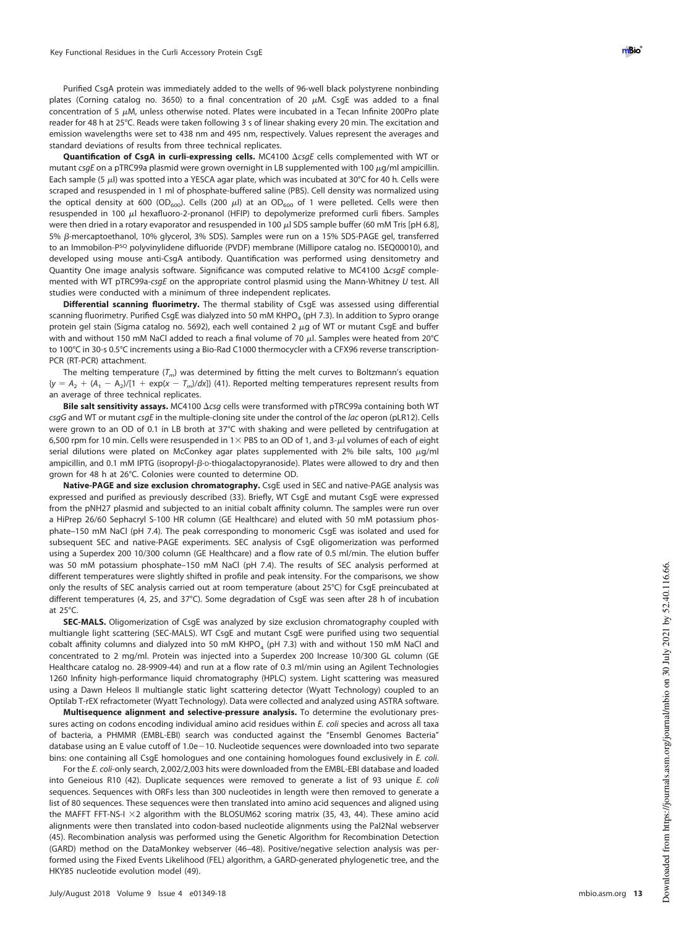Purified CsgA protein was immediately added to the wells of 96-well black polystyrene nonbinding plates (Corning catalog no. 3650) to a final concentration of 20  $\mu$ M. CsgE was added to a final concentration of 5  $\mu$ M, unless otherwise noted. Plates were incubated in a Tecan Infinite 200Pro plate reader for 48 h at 25°C. Reads were taken following 3 s of linear shaking every 20 min. The excitation and emission wavelengths were set to 438 nm and 495 nm, respectively. Values represent the averages and standard deviations of results from three technical replicates.

Quantification of CsgA in curli-expressing cells. MC4100  $\Delta c s g E$  cells complemented with WT or mutant csgE on a pTRC99a plasmid were grown overnight in LB supplemented with 100 µg/ml ampicillin. Each sample (5  $\mu$ l) was spotted into a YESCA agar plate, which was incubated at 30°C for 40 h. Cells were scraped and resuspended in 1 ml of phosphate-buffered saline (PBS). Cell density was normalized using the optical density at 600 (OD<sub>600</sub>). Cells (200  $\mu$ l) at an OD<sub>600</sub> of 1 were pelleted. Cells were then resuspended in 100  $\mu$ l hexafluoro-2-pronanol (HFIP) to depolymerize preformed curli fibers. Samples were then dried in a rotary evaporator and resuspended in 100  $\mu$ l SDS sample buffer (60 mM Tris [pH 6.8], 5% β-mercaptoethanol, 10% glycerol, 3% SDS). Samples were run on a 15% SDS-PAGE gel, transferred to an Immobilon-P<sup>SQ</sup> polyvinylidene difluoride (PVDF) membrane (Millipore catalog no. ISEQ00010), and developed using mouse anti-CsgA antibody. Quantification was performed using densitometry and Quantity One image analysis software. Significance was computed relative to MC4100  $\triangle csgE$  complemented with WT pTRC99a-csqE on the appropriate control plasmid using the Mann-Whitney U test. All studies were conducted with a minimum of three independent replicates.

**Differential scanning fluorimetry.** The thermal stability of CsgE was assessed using differential scanning fluorimetry. Purified CsgE was dialyzed into 50 mM KHPO $_4$  (pH 7.3). In addition to Sypro orange protein gel stain (Sigma catalog no. 5692), each well contained 2 µg of WT or mutant CsgE and buffer with and without 150 mM NaCl added to reach a final volume of 70  $\mu$ l. Samples were heated from 20°C to 100°C in 30-s 0.5°C increments using a Bio-Rad C1000 thermocycler with a CFX96 reverse transcription-PCR (RT-PCR) attachment.

The melting temperature  $(\mathcal{T}_m)$  was determined by fitting the melt curves to Boltzmann's equation  ${y = A_2 + (A_1 - A_2)/[1 + \exp(x - T_m)/dx]}$  [\(41\)](#page-14-17). Reported melting temperatures represent results from an average of three technical replicates.

Bile salt sensitivity assays. MC4100  $\Delta$ csg cells were transformed with pTRC99a containing both WT csgG and WT or mutant csgE in the multiple-cloning site under the control of the lac operon (pLR12). Cells were grown to an OD of 0.1 in LB broth at 37°C with shaking and were pelleted by centrifugation at 6,500 rpm for 10 min. Cells were resuspended in  $1\times$  PBS to an OD of 1, and 3- $\mu$ l volumes of each of eight serial dilutions were plated on McConkey agar plates supplemented with 2% bile salts, 100  $\mu$ g/ml ampicillin, and 0.1 mM IPTG (isopropyl- $\beta$ -D-thiogalactopyranoside). Plates were allowed to dry and then grown for 48 h at 26°C. Colonies were counted to determine OD.

**Native-PAGE and size exclusion chromatography.** CsgE used in SEC and native-PAGE analysis was expressed and purified as previously described [\(33\)](#page-14-9). Briefly, WT CsgE and mutant CsgE were expressed from the pNH27 plasmid and subjected to an initial cobalt affinity column. The samples were run over a HiPrep 26/60 Sephacryl S-100 HR column (GE Healthcare) and eluted with 50 mM potassium phosphate–150 mM NaCl (pH 7.4). The peak corresponding to monomeric CsgE was isolated and used for subsequent SEC and native-PAGE experiments. SEC analysis of CsgE oligomerization was performed using a Superdex 200 10/300 column (GE Healthcare) and a flow rate of 0.5 ml/min. The elution buffer was 50 mM potassium phosphate-150 mM NaCl (pH 7.4). The results of SEC analysis performed at different temperatures were slightly shifted in profile and peak intensity. For the comparisons, we show only the results of SEC analysis carried out at room temperature (about 25°C) for CsgE preincubated at different temperatures (4, 25, and 37°C). Some degradation of CsgE was seen after 28 h of incubation at 25°C.

**SEC-MALS.** Oligomerization of CsgE was analyzed by size exclusion chromatography coupled with multiangle light scattering (SEC-MALS). WT CsgE and mutant CsgE were purified using two sequential cobalt affinity columns and dialyzed into 50 mM KHPO<sub>4</sub> (pH 7.3) with and without 150 mM NaCl and concentrated to 2 mg/ml. Protein was injected into a Superdex 200 Increase 10/300 GL column (GE Healthcare catalog no. 28-9909-44) and run at a flow rate of 0.3 ml/min using an Agilent Technologies 1260 Infinity high-performance liquid chromatography (HPLC) system. Light scattering was measured using a Dawn Heleos II multiangle static light scattering detector (Wyatt Technology) coupled to an Optilab T-rEX refractometer (Wyatt Technology). Data were collected and analyzed using ASTRA software.

**Multisequence alignment and selective-pressure analysis.** To determine the evolutionary pressures acting on codons encoding individual amino acid residues within E. coli species and across all taxa of bacteria, a PHMMR (EMBL-EBI) search was conducted against the "Ensembl Genomes Bacteria" database using an E value cutoff of 1.0e 10. Nucleotide sequences were downloaded into two separate bins: one containing all CsgE homologues and one containing homologues found exclusively in E. coli.

For the E. coli-only search, 2,002/2,003 hits were downloaded from the EMBL-EBI database and loaded into Geneious R10 [\(42\)](#page-14-18). Duplicate sequences were removed to generate a list of 93 unique E. coli sequences. Sequences with ORFs less than 300 nucleotides in length were then removed to generate a list of 80 sequences. These sequences were then translated into amino acid sequences and aligned using the MAFFT FFT-NS-I  $\times$ 2 algorithm with the BLOSUM62 scoring matrix [\(35,](#page-14-11) [43,](#page-14-19) [44\)](#page-14-20). These amino acid alignments were then translated into codon-based nucleotide alignments using the Pal2Nal webserver [\(45\)](#page-14-21). Recombination analysis was performed using the Genetic Algorithm for Recombination Detection (GARD) method on the DataMonkey webserver [\(46](#page-14-22)[–](#page-14-23)[48\)](#page-14-24). Positive/negative selection analysis was performed using the Fixed Events Likelihood (FEL) algorithm, a GARD-generated phylogenetic tree, and the HKY85 nucleotide evolution model [\(49\)](#page-14-25).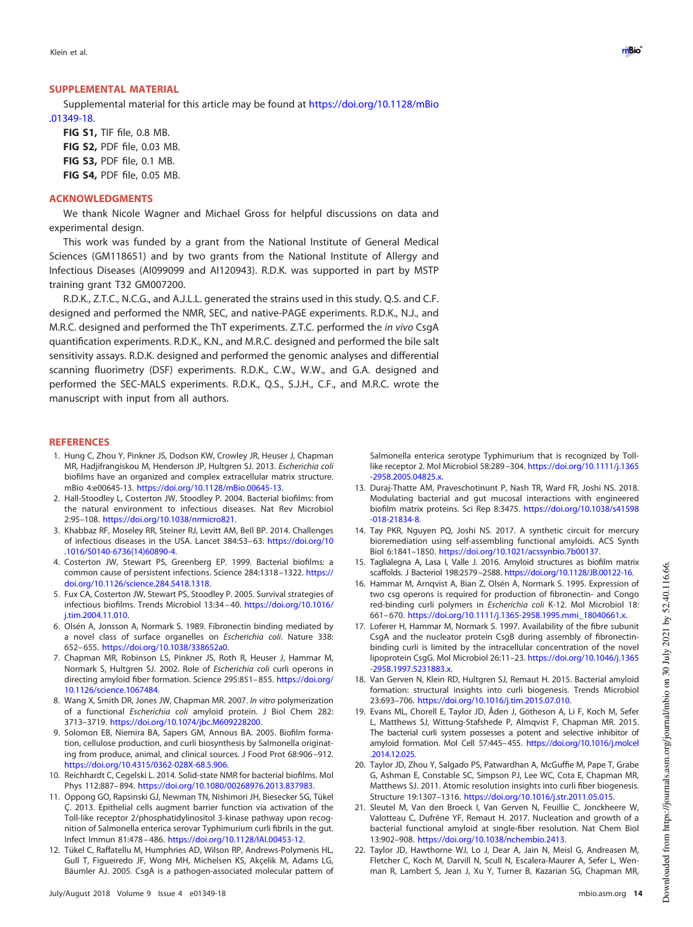Klein et al. **De verste staat het de verste van de verste van de verste van de verste van de verste van de verste van de verste van de verste van de verste van de verste van de verste van de verste van de verste van de ver** 

## **SUPPLEMENTAL MATERIAL**

Supplemental material for this article may be found at https://doi.org/10.1128/mBio .01349-18.

**FIG S1,** TIF file, 0.8 MB. **FIG S2,** PDF file, 0.03 MB. **FIG S3,** PDF file, 0.1 MB. **FIG S4,** PDF file, 0.05 MB.

## **ACKNOWLEDGMENTS**

We thank Nicole Wagner and Michael Gross for helpful discussions on data and experimental design.

This work was funded by a grant from the National Institute of General Medical Sciences (GM118651) and by two grants from the National Institute of Allergy and Infectious Diseases (AI099099 and AI120943). R.D.K. was supported in part by MSTP training grant T32 GM007200.

R.D.K., Z.T.C., N.C.G., and A.J.L.L. generated the strains used in this study. Q.S. and C.F. designed and performed the NMR, SEC, and native-PAGE experiments. R.D.K., N.J., and M.R.C. designed and performed the ThT experiments. Z.T.C. performed the in vivo CsgA quantification experiments. R.D.K., K.N., and M.R.C. designed and performed the bile salt sensitivity assays. R.D.K. designed and performed the genomic analyses and differential scanning fluorimetry (DSF) experiments. R.D.K., C.W., W.W., and G.A. designed and performed the SEC-MALS experiments. R.D.K., Q.S., S.J.H., C.F., and M.R.C. wrote the manuscript with input from all authors.

#### <span id="page-13-0"></span>**REFERENCES**

- 1. Hung C, Zhou Y, Pinkner JS, Dodson KW, Crowley JR, Heuser J, Chapman MR, Hadjifrangiskou M, Henderson JP, Hultgren SJ. 2013. Escherichia coli biofilms have an organized and complex extracellular matrix structure. mBio 4:e00645-13. https://doi.org/10.1128/mBio.00645-13.
- <span id="page-13-1"></span>2. Hall-Stoodley L, Costerton JW, Stoodley P. 2004. Bacterial biofilms: from the natural environment to infectious diseases. Nat Rev Microbiol 2:95–108. https://doi.org/10.1038/nrmicro821.
- <span id="page-13-3"></span><span id="page-13-2"></span>3. Khabbaz RF, Moseley RR, Steiner RJ, Levitt AM, Bell BP. 2014. Challenges of infectious diseases in the USA. Lancet 384:53– 63. https://doi.org/10 .1016/S0140-6736(14)60890-4.
- <span id="page-13-4"></span>4. Costerton JW, Stewart PS, Greenberg EP. 1999. Bacterial biofilms: a common cause of persistent infections. Science 284:1318 –1322. https:// doi.org/10.1126/science.284.5418.1318.
- <span id="page-13-5"></span>5. Fux CA, Costerton JW, Stewart PS, Stoodley P. 2005. Survival strategies of infectious biofilms. Trends Microbiol 13:34 – 40. https://doi.org/10.1016/ j.tim.2004.11.010.
- <span id="page-13-6"></span>6. Olsén A, Jonsson A, Normark S. 1989. Fibronectin binding mediated by a novel class of surface organelles on Escherichia coli. Nature 338: 652– 655. https://doi.org/10.1038/338652a0.
- 7. Chapman MR, Robinson LS, Pinkner JS, Roth R, Heuser J, Hammar M, Normark S, Hultgren SJ. 2002. Role of Escherichia coli curli operons in directing amyloid fiber formation. Science 295:851-855. https://doi.org/ 10.1126/science.1067484.
- <span id="page-13-8"></span><span id="page-13-7"></span>8. Wang X, Smith DR, Jones JW, Chapman MR. 2007. In vitro polymerization of a functional Escherichia coli amyloid protein. J Biol Chem 282: 3713–3719. https://doi.org/10.1074/jbc.M609228200.
- 9. Solomon EB, Niemira BA, Sapers GM, Annous BA. 2005. Biofilm formation, cellulose production, and curli biosynthesis by Salmonella originating from produce, animal, and clinical sources. J Food Prot 68:906 –912. https://doi.org/10.4315/0362-028X-68.5.906.
- <span id="page-13-10"></span><span id="page-13-9"></span>10. Reichhardt C, Cegelski L. 2014. Solid-state NMR for bacterial biofilms. Mol Phys 112:887– 894. https://doi.org/10.1080/00268976.2013.837983.
- 11. Oppong GO, Rapsinski GJ, Newman TN, Nishimori JH, Biesecker SG, Tükel Ç. 2013. Epithelial cells augment barrier function via activation of the Toll-like receptor 2/phosphatidylinositol 3-kinase pathway upon recognition of Salmonella enterica serovar Typhimurium curli fibrils in the gut. Infect Immun 81:478 – 486. https://doi.org/10.1128/IAI.00453-12.
- <span id="page-13-11"></span>12. Tükel C, Raffatellu M, Humphries AD, Wilson RP, Andrews-Polymenis HL, Gull T, Figueiredo JF, Wong MH, Michelsen KS, Akçelik M, Adams LG, Bäumler AJ. 2005. CsgA is a pathogen-associated molecular pattern of

Salmonella enterica serotype Typhimurium that is recognized by Tolllike receptor 2. Mol Microbiol 58:289 –304. https://doi.org/10.1111/j.1365 -2958.2005.04825.x.

- <span id="page-13-12"></span>13. Duraj-Thatte AM, Praveschotinunt P, Nash TR, Ward FR, Joshi NS. 2018. Modulating bacterial and gut mucosal interactions with engineered biofilm matrix proteins. Sci Rep 8:3475. https://doi.org/10.1038/s41598 -018-21834-8.
- <span id="page-13-14"></span><span id="page-13-13"></span>14. Tay PKR, Nguyen PQ, Joshi NS. 2017. A synthetic circuit for mercury bioremediation using self-assembling functional amyloids. ACS Synth Biol 6:1841–1850. https://doi.org/10.1021/acssynbio.7b00137.
- <span id="page-13-15"></span>15. Taglialegna A, Lasa I, Valle J. 2016. Amyloid structures as biofilm matrix scaffolds. J Bacteriol 198:2579 –2588. https://doi.org/10.1128/JB.00122-16.
- 16. Hammar M, Arnqvist A, Bian Z, Olsén A, Normark S. 1995. Expression of two csg operons is required for production of fibronectin- and Congo red-binding curli polymers in Escherichia coli K-12. Mol Microbiol 18: 661– 670. https://doi.org/10.1111/j.1365-2958.1995.mmi\_18040661.x.
- <span id="page-13-16"></span>17. Loferer H, Hammar M, Normark S. 1997. Availability of the fibre subunit CsgA and the nucleator protein CsgB during assembly of fibronectinbinding curli is limited by the intracellular concentration of the novel lipoprotein CsgG. Mol Microbiol 26:11–23. https://doi.org/10.1046/j.1365 -2958.1997.5231883.x.
- <span id="page-13-18"></span><span id="page-13-17"></span>18. Van Gerven N, Klein RD, Hultgren SJ, Remaut H. 2015. Bacterial amyloid formation: structural insights into curli biogenesis. Trends Microbiol 23:693–706. https://doi.org/10.1016/j.tim.2015.07.010.
- 19. Evans ML, Chorell E, Taylor JD, Åden J, Götheson A, Li F, Koch M, Sefer L, Matthews SJ, Wittung-Stafshede P, Almqvist F, Chapman MR. 2015. The bacterial curli system possesses a potent and selective inhibitor of amyloid formation. Mol Cell 57:445–455. https://doi.org/10.1016/j.molcel .2014.12.025.
- <span id="page-13-19"></span>20. Taylor JD, Zhou Y, Salgado PS, Patwardhan A, McGuffie M, Pape T, Grabe G, Ashman E, Constable SC, Simpson PJ, Lee WC, Cota E, Chapman MR, Matthews SJ. 2011. Atomic resolution insights into curli fiber biogenesis. Structure 19:1307–1316. https://doi.org/10.1016/j.str.2011.05.015.
- <span id="page-13-20"></span>21. Sleutel M, Van den Broeck I, Van Gerven N, Feuillie C, Jonckheere W, Valotteau C, Dufrêne YF, Remaut H. 2017. Nucleation and growth of a bacterial functional amyloid at single-fiber resolution. Nat Chem Biol 13:902–908. https://doi.org/10.1038/nchembio.2413.
- <span id="page-13-21"></span>22. Taylor JD, Hawthorne WJ, Lo J, Dear A, Jain N, Meisl G, Andreasen M, Fletcher C, Koch M, Darvill N, Scull N, Escalera-Maurer A, Sefer L, Wenman R, Lambert S, Jean J, Xu Y, Turner B, Kazarian SG, Chapman MR,